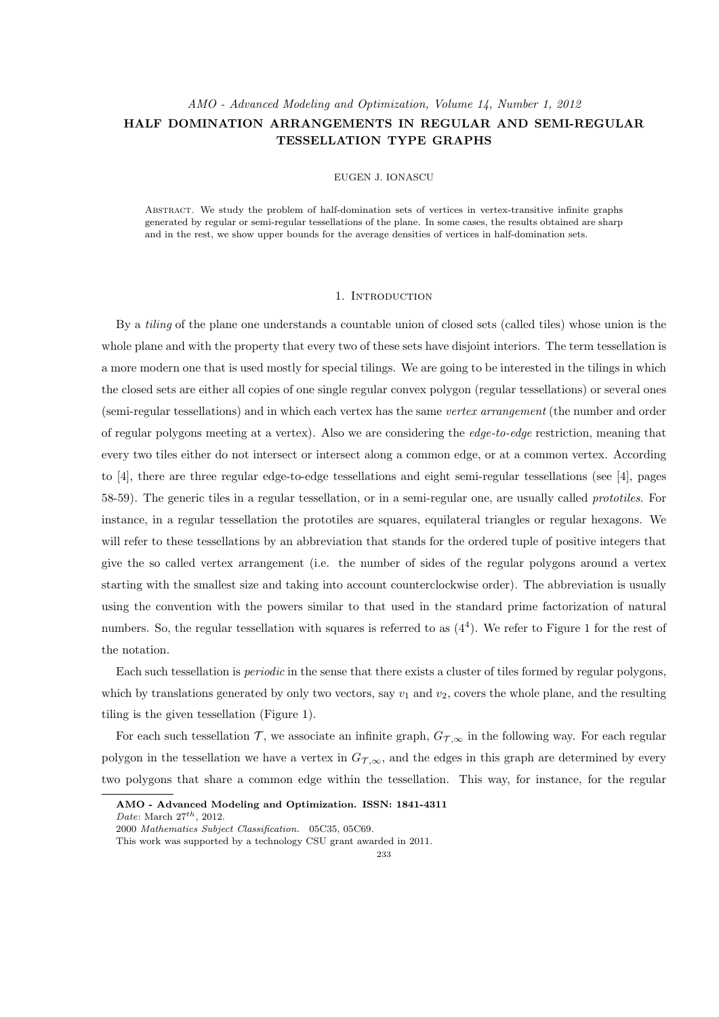# *AMO - Advanced Modeling and Optimization, Volume 14, Number 1, 2012* **HALF DOMINATION ARRANGEMENTS IN REGULAR AND SEMI-REGULAR TESSELLATION TYPE GRAPHS**

# EUGEN J. IONASCU

Abstract. We study the problem of half-domination sets of vertices in vertex-transitive infinite graphs generated by regular or semi-regular tessellations of the plane. In some cases, the results obtained are sharp and in the rest, we show upper bounds for the average densities of vertices in half-domination sets.

# 1. INTRODUCTION

By a *tiling* of the plane one understands a countable union of closed sets (called tiles) whose union is the whole plane and with the property that every two of these sets have disjoint interiors. The term tessellation is a more modern one that is used mostly for special tilings. We are going to be interested in the tilings in which the closed sets are either all copies of one single regular convex polygon (regular tessellations) or several ones (semi-regular tessellations) and in which each vertex has the same *vertex arrangement* (the number and order of regular polygons meeting at a vertex). Also we are considering the *edge-to-edge* restriction, meaning that every two tiles either do not intersect or intersect along a common edge, or at a common vertex. According to [4], there are three regular edge-to-edge tessellations and eight semi-regular tessellations (see [4], pages 58-59). The generic tiles in a regular tessellation, or in a semi-regular one, are usually called *prototiles*. For instance, in a regular tessellation the prototiles are squares, equilateral triangles or regular hexagons. We will refer to these tessellations by an abbreviation that stands for the ordered tuple of positive integers that give the so called vertex arrangement (i.e. the number of sides of the regular polygons around a vertex starting with the smallest size and taking into account counterclockwise order). The abbreviation is usually using the convention with the powers similar to that used in the standard prime factorization of natural numbers. So, the regular tessellation with squares is referred to as  $(4<sup>4</sup>)$ . We refer to Figure 1 for the rest of the notation.

Each such tessellation is *periodic* in the sense that there exists a cluster of tiles formed by regular polygons, which by translations generated by only two vectors, say  $v_1$  and  $v_2$ , covers the whole plane, and the resulting tiling is the given tessellation (Figure 1).

For each such tessellation  $\mathcal{T}$ , we associate an infinite graph,  $G_{\mathcal{T},\infty}$  in the following way. For each regular polygon in the tessellation we have a vertex in  $G_{\mathcal{T},\infty}$ , and the edges in this graph are determined by every two polygons that share a common edge within the tessellation. This way, for instance, for the regular

**AMO - Advanced Modeling and Optimization. ISSN: 1841-4311**

*Date*: March 27*th*, 2012.

<sup>2000</sup> *Mathematics Subject Classification.* 05C35, 05C69.

This work was supported by a technology CSU grant awarded in 2011.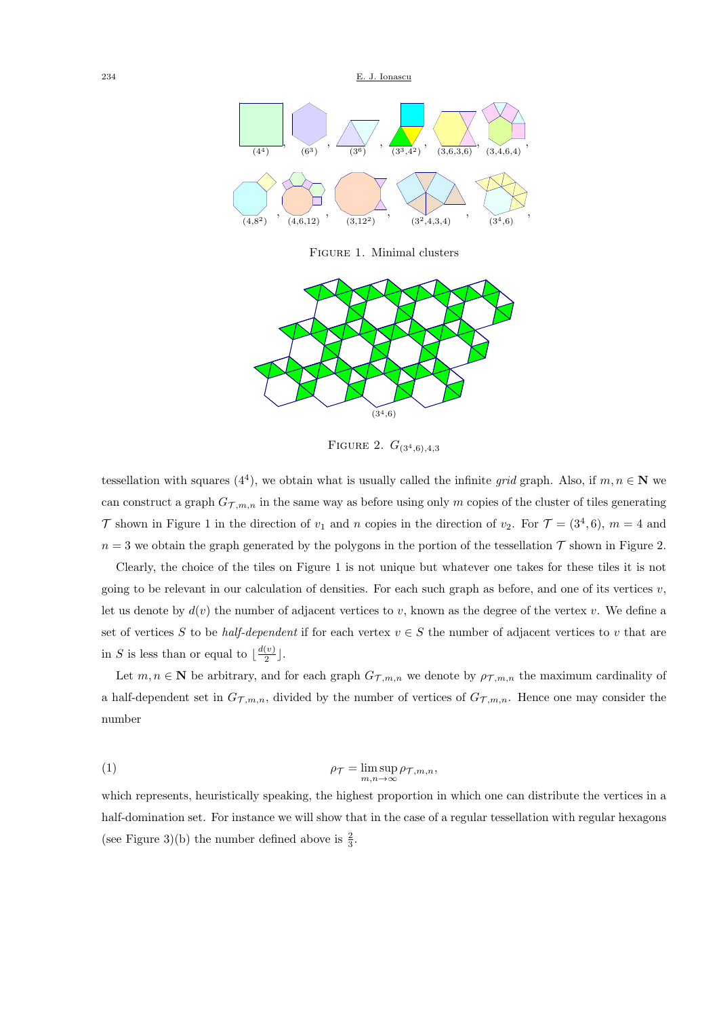234 E. J. Ionascu



Figure 1. Minimal clusters



Figure 2. *G*(34*,*6)*,*4*,*<sup>3</sup>

tessellation with squares  $(4^4)$ , we obtain what is usually called the infinite *grid* graph. Also, if  $m, n \in \mathbb{N}$  we can construct a graph  $G_{\mathcal{T},m,n}$  in the same way as before using only *m* copies of the cluster of tiles generating *T* shown in Figure 1 in the direction of  $v_1$  and *n* copies in the direction of  $v_2$ . For  $\mathcal{T} = (3^4, 6)$ ,  $m = 4$  and  $n = 3$  we obtain the graph generated by the polygons in the portion of the tessellation  $\mathcal T$  shown in Figure 2.

Clearly, the choice of the tiles on Figure 1 is not unique but whatever one takes for these tiles it is not going to be relevant in our calculation of densities. For each such graph as before, and one of its vertices  $v$ , let us denote by  $d(v)$  the number of adjacent vertices to *v*, known as the degree of the vertex *v*. We define a set of vertices *S* to be *half-dependent* if for each vertex  $v \in S$  the number of adjacent vertices to *v* that are in *S* is less than or equal to  $\frac{d(v)}{2}$  $\frac{(v)}{2}$ .

Let  $m, n \in \mathbb{N}$  be arbitrary, and for each graph  $G_{\mathcal{T},m,n}$  we denote by  $\rho_{\mathcal{T},m,n}$  the maximum cardinality of a half-dependent set in  $G_{\mathcal{T},m,n}$ , divided by the number of vertices of  $G_{\mathcal{T},m,n}$ . Hence one may consider the number

(1) 
$$
\rho_{\mathcal{T}} = \limsup_{m,n \to \infty} \rho_{\mathcal{T},m,n},
$$

which represents, heuristically speaking, the highest proportion in which one can distribute the vertices in a half-domination set. For instance we will show that in the case of a regular tessellation with regular hexagons (see Figure 3)(b) the number defined above is  $\frac{2}{3}$ .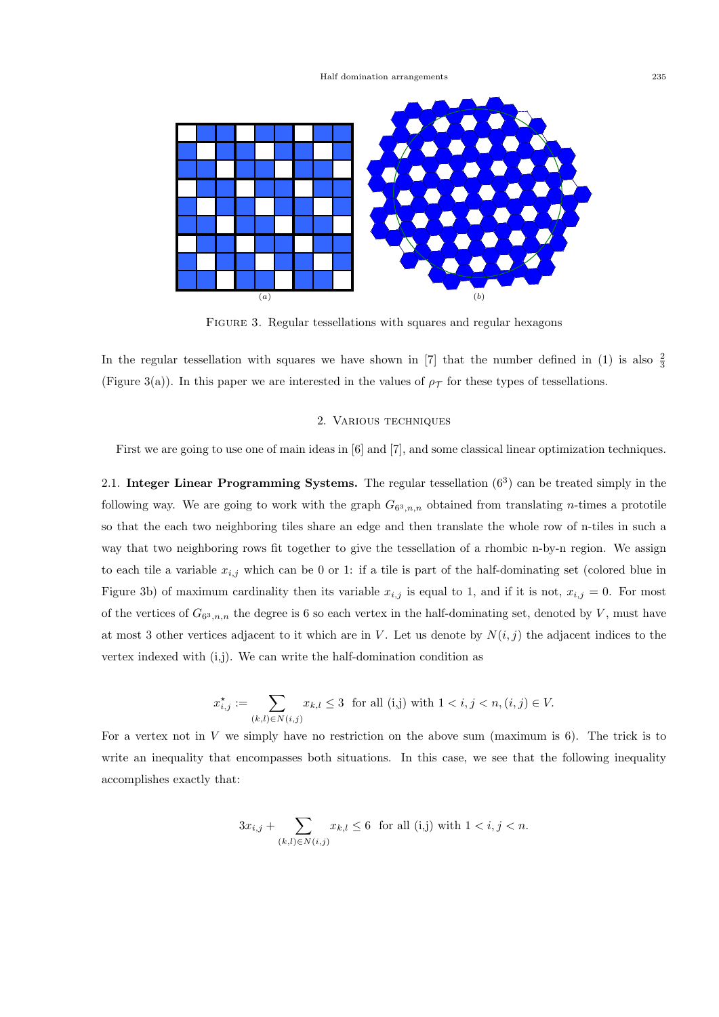

FIGURE 3. Regular tessellations with squares and regular hexagons

In the regular tessellation with squares we have shown in [7] that the number defined in (1) is also  $\frac{2}{3}$ (Figure 3(a)). In this paper we are interested in the values of  $\rho<sub>T</sub>$  for these types of tessellations.

# 2. Various techniques

First we are going to use one of main ideas in [6] and [7], and some classical linear optimization techniques.

2.1. **Integer Linear Programming Systems.** The regular tessellation (6<sup>3</sup> ) can be treated simply in the following way. We are going to work with the graph  $G_{6^3,n,n}$  obtained from translating *n*-times a prototile so that the each two neighboring tiles share an edge and then translate the whole row of n-tiles in such a way that two neighboring rows fit together to give the tessellation of a rhombic n-by-n region. We assign to each tile a variable  $x_{i,j}$  which can be 0 or 1: if a tile is part of the half-dominating set (colored blue in Figure 3b) of maximum cardinality then its variable  $x_{i,j}$  is equal to 1, and if it is not,  $x_{i,j} = 0$ . For most of the vertices of  $G_{6^3,n,n}$  the degree is 6 so each vertex in the half-dominating set, denoted by *V*, must have at most 3 other vertices adjacent to it which are in *V*. Let us denote by  $N(i, j)$  the adjacent indices to the vertex indexed with (i,j). We can write the half-domination condition as

$$
x_{i,j}^{\star} := \sum_{(k,l) \in N(i,j)} x_{k,l} \leq 3 \text{ for all (i,j) with } 1 < i, j < n, (i,j) \in V.
$$

For a vertex not in *V* we simply have no restriction on the above sum (maximum is 6). The trick is to write an inequality that encompasses both situations. In this case, we see that the following inequality accomplishes exactly that:

$$
3x_{i,j} + \sum_{(k,l) \in N(i,j)} x_{k,l} \le 6 \text{ for all } (i,j) \text{ with } 1 < i, j < n.
$$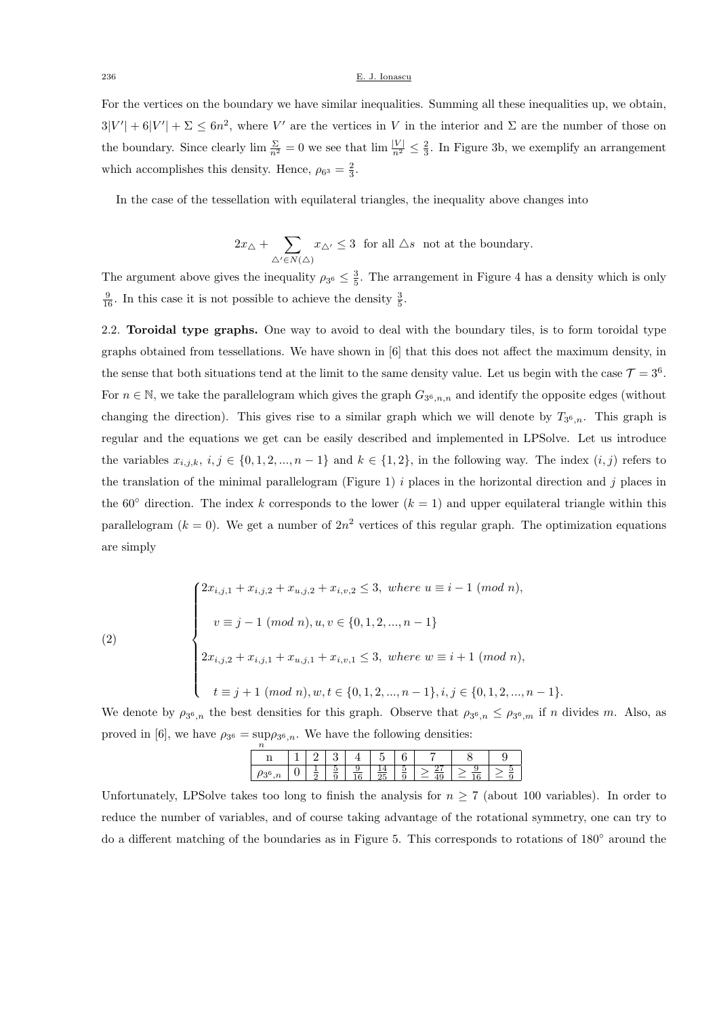#### 236 E. J. Ionascu

For the vertices on the boundary we have similar inequalities. Summing all these inequalities up, we obtain,  $3|V'| + 6|V'| + \Sigma \leq 6n^2$ , where V' are the vertices in V in the interior and  $\Sigma$  are the number of those on the boundary. Since clearly  $\lim_{n^2} \frac{\Sigma}{n^2} = 0$  we see that  $\lim_{n \to \infty} \frac{|V|}{n^2} \leq \frac{2}{3}$ . In Figure 3b, we exemplify an arrangement which accomplishes this density. Hence,  $\rho_{6^3} = \frac{2}{3}$ .

In the case of the tessellation with equilateral triangles, the inequality above changes into

$$
2x_\triangle + \sum_{\triangle' \in N(\triangle)} x_{\triangle'} \leq 3 \ \ \text{for all $\triangle s$ \ not at the boundary}.
$$

The argument above gives the inequality  $\rho_{3^6} \leq \frac{3}{5}$ . The arrangement in Figure 4 has a density which is only  $\frac{9}{16}$ . In this case it is not possible to achieve the density  $\frac{3}{5}$ .

2.2. **Toroidal type graphs.** One way to avoid to deal with the boundary tiles, is to form toroidal type graphs obtained from tessellations. We have shown in [6] that this does not affect the maximum density, in the sense that both situations tend at the limit to the same density value. Let us begin with the case  $\mathcal{T} = 3^6$ . For  $n \in \mathbb{N}$ , we take the parallelogram which gives the graph  $G_{3^6,n,n}$  and identify the opposite edges (without changing the direction). This gives rise to a similar graph which we will denote by  $T_{3^6,n}$ . This graph is regular and the equations we get can be easily described and implemented in LPSolve. Let us introduce the variables  $x_{i,j,k}, i,j \in \{0,1,2,...,n-1\}$  and  $k \in \{1,2\}$ , in the following way. The index  $(i,j)$  refers to the translation of the minimal parallelogram (Figure 1) *i* places in the horizontal direction and *j* places in the 60<sup>°</sup> direction. The index *k* corresponds to the lower  $(k = 1)$  and upper equilateral triangle within this parallelogram  $(k = 0)$ . We get a number of  $2n^2$  vertices of this regular graph. The optimization equations are simply

(2)  

$$
\begin{cases}\n2x_{i,j,1} + x_{i,j,2} + x_{u,j,2} + x_{i,v,2} \le 3, \text{ where } u \equiv i - 1 \pmod{n}, \\
v \equiv j - 1 \pmod{n}, u, v \in \{0, 1, 2, ..., n - 1\} \\
2x_{i,j,2} + x_{i,j,1} + x_{u,j,1} + x_{i,v,1} \le 3, \text{ where } w \equiv i + 1 \pmod{n}, \\
t \equiv j + 1 \pmod{n}, w, t \in \{0, 1, 2, ..., n - 1\}, i, j \in \{0, 1, 2, ..., n - 1\}.\n\end{cases}
$$

We denote by  $\rho_{3^6,n}$  the best densities for this graph. Observe that  $\rho_{3^6,n} \leq \rho_{3^6,m}$  if *n* divides *m*. Also, as proved in [6], we have  $\rho_{3^6} = \sup_n \rho_{3^6,n}$ . We have the following densities:

|   |  | ∽ |  |  |  |
|---|--|---|--|--|--|
| ບ |  | u |  |  |  |

Unfortunately, LPSolve takes too long to finish the analysis for  $n \geq 7$  (about 100 variables). In order to reduce the number of variables, and of course taking advantage of the rotational symmetry, one can try to do a different matching of the boundaries as in Figure 5. This corresponds to rotations of 180*◦* around the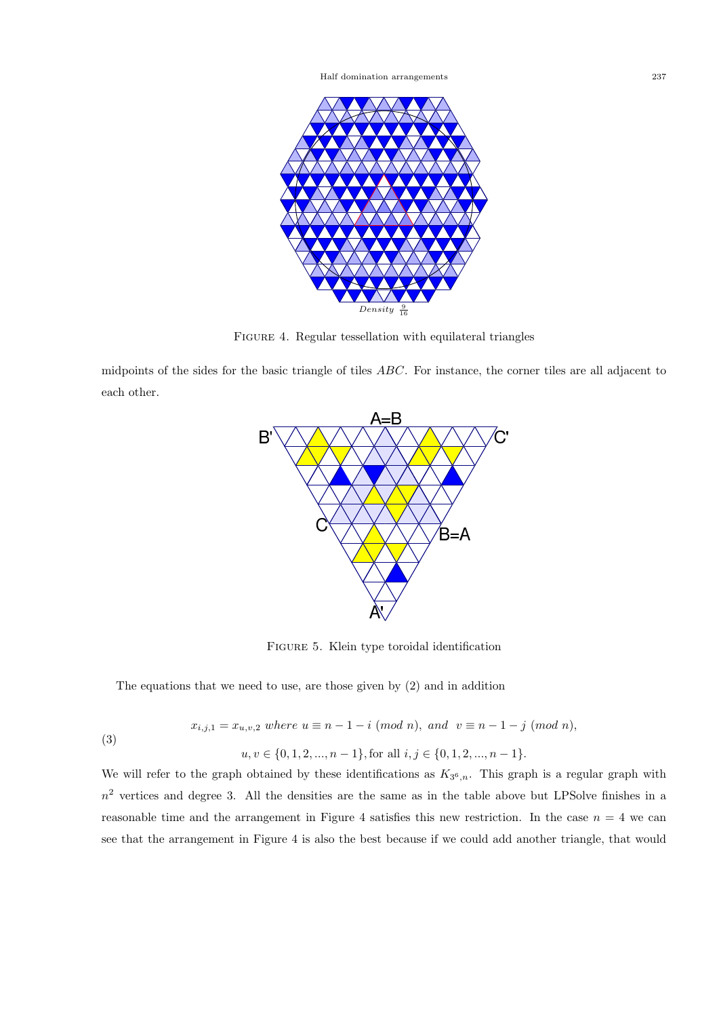

FIGURE 4. Regular tessellation with equilateral triangles

midpoints of the sides for the basic triangle of tiles *ABC*. For instance, the corner tiles are all adjacent to each other.



Figure 5. Klein type toroidal identification

The equations that we need to use, are those given by (2) and in addition

$$
x_{i,j,1} = x_{u,v,2} \text{ where } u \equiv n-1-i \pmod{n}, \text{ and } v \equiv n-1-j \pmod{n},
$$

(3)

*u*, *v* ∈ {0, 1, 2, ..., *n* − 1}, for all *i*, *j* ∈ {0, 1, 2, ..., *n* − 1}.

We will refer to the graph obtained by these identifications as  $K_{3^6,n}$ . This graph is a regular graph with  $n<sup>2</sup>$  vertices and degree 3. All the densities are the same as in the table above but LPSolve finishes in a reasonable time and the arrangement in Figure 4 satisfies this new restriction. In the case  $n = 4$  we can see that the arrangement in Figure 4 is also the best because if we could add another triangle, that would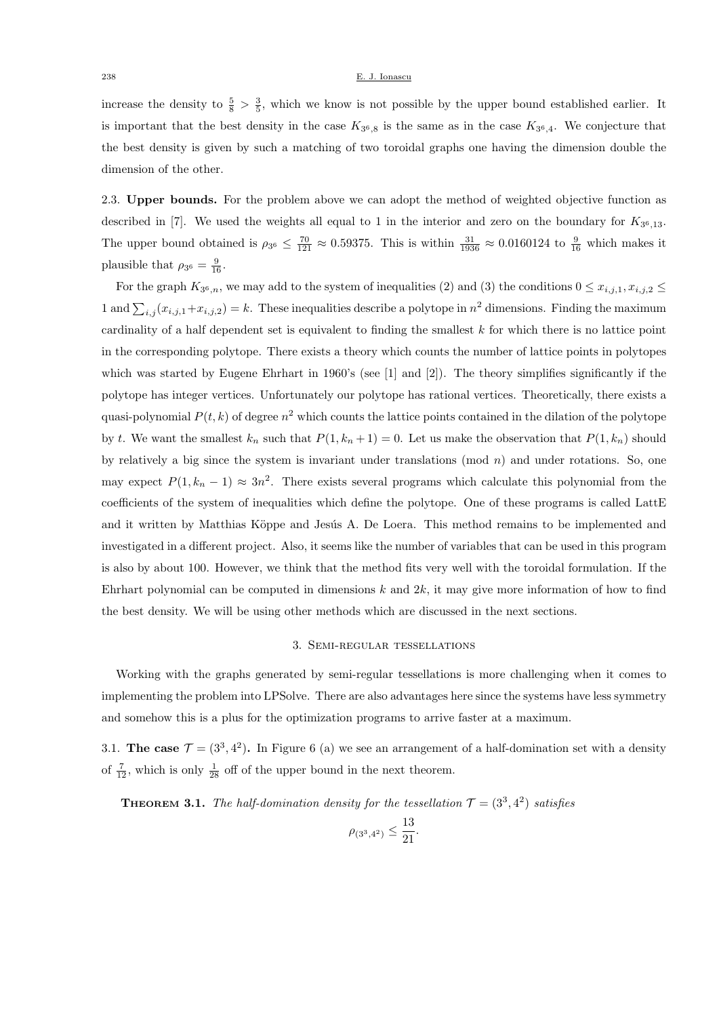#### 238 E. J. Ionascu

increase the density to  $\frac{5}{8} > \frac{3}{5}$ , which we know is not possible by the upper bound established earlier. It is important that the best density in the case  $K_{36,8}$  is the same as in the case  $K_{36,4}$ . We conjecture that the best density is given by such a matching of two toroidal graphs one having the dimension double the dimension of the other.

2.3. **Upper bounds.** For the problem above we can adopt the method of weighted objective function as described in [7]. We used the weights all equal to 1 in the interior and zero on the boundary for *K*<sup>3</sup> <sup>6</sup>*,*13. The upper bound obtained is  $\rho_{3^6} \leq \frac{70}{121} \approx 0.59375$ . This is within  $\frac{31}{1936} \approx 0.0160124$  to  $\frac{9}{16}$  which makes it plausible that  $\rho_{3^6} = \frac{9}{16}$ .

For the graph  $K_{3^6,n}$ , we may add to the system of inequalities (2) and (3) the conditions  $0 \le x_{i,j,1}, x_{i,j,2} \le$ 1 and  $\sum_{i,j}(x_{i,j,1}+x_{i,j,2})=k$ . These inequalities describe a polytope in  $n^2$  dimensions. Finding the maximum cardinality of a half dependent set is equivalent to finding the smallest *k* for which there is no lattice point in the corresponding polytope. There exists a theory which counts the number of lattice points in polytopes which was started by Eugene Ehrhart in 1960's (see [1] and [2]). The theory simplifies significantly if the polytope has integer vertices. Unfortunately our polytope has rational vertices. Theoretically, there exists a quasi-polynomial  $P(t, k)$  of degree  $n^2$  which counts the lattice points contained in the dilation of the polytope by *t*. We want the smallest  $k_n$  such that  $P(1, k_n + 1) = 0$ . Let us make the observation that  $P(1, k_n)$  should by relatively a big since the system is invariant under translations (mod *n*) and under rotations. So, one may expect  $P(1, k_n - 1) \approx 3n^2$ . There exists several programs which calculate this polynomial from the coefficients of the system of inequalities which define the polytope. One of these programs is called LattE and it written by Matthias Köppe and Jesús A. De Loera. This method remains to be implemented and investigated in a different project. Also, it seems like the number of variables that can be used in this program is also by about 100. However, we think that the method fits very well with the toroidal formulation. If the Ehrhart polynomial can be computed in dimensions *k* and 2*k*, it may give more information of how to find the best density. We will be using other methods which are discussed in the next sections.

## 3. Semi-regular tessellations

Working with the graphs generated by semi-regular tessellations is more challenging when it comes to implementing the problem into LPSolve. There are also advantages here since the systems have less symmetry and somehow this is a plus for the optimization programs to arrive faster at a maximum.

3.1. **The case**  $\mathcal{T} = (3^3, 4^2)$ . In Figure 6 (a) we see an arrangement of a half-domination set with a density of  $\frac{7}{12}$ , which is only  $\frac{1}{28}$  off of the upper bound in the next theorem.

**THEOREM** 3.1. The half-domination density for the tessellation  $\mathcal{T} = (3^3, 4^2)$  satisfies

$$
\rho_{(3^3,4^2)} \le \frac{13}{21}.
$$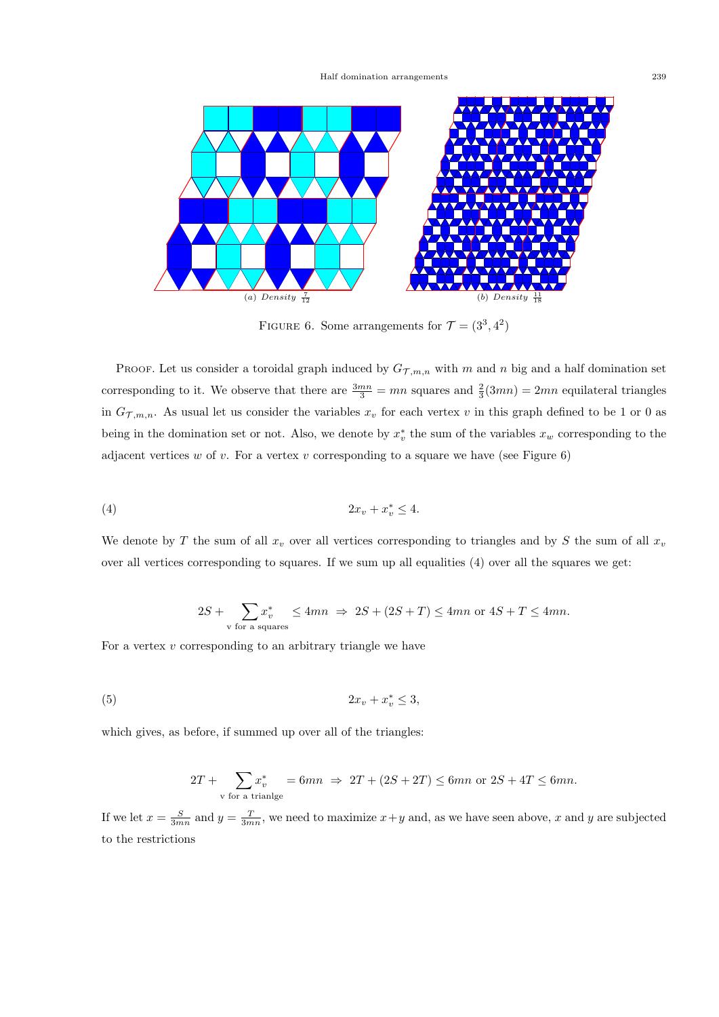Half domination arrangements 239



FIGURE 6. Some arrangements for  $\mathcal{T} = (3^3, 4^2)$ 

PROOF. Let us consider a toroidal graph induced by  $G_{\mathcal{T},m,n}$  with *m* and *n* big and a half domination set corresponding to it. We observe that there are  $\frac{3mn}{3} = mn$  squares and  $\frac{2}{3}(3mn) = 2mn$  equilateral triangles in  $G_{\mathcal{T},m,n}$ . As usual let us consider the variables  $x_v$  for each vertex  $v$  in this graph defined to be 1 or 0 as being in the domination set or not. Also, we denote by  $x_v^*$  the sum of the variables  $x_w$  corresponding to the adjacent vertices  $w$  of  $v$ . For a vertex  $v$  corresponding to a square we have (see Figure  $6$ )

$$
(4) \t\t\t 2x_v + x_v^* \le 4.
$$

We denote by *T* the sum of all  $x_v$  over all vertices corresponding to triangles and by *S* the sum of all  $x_v$ over all vertices corresponding to squares. If we sum up all equalities (4) over all the squares we get:

$$
2S+\sum_{\rm v\ for\ a\ squares}x^*_{v}\leq 4mn\ \Rightarrow\ 2S+(2S+T)\leq 4mn\ {\rm or}\ 4S+T\leq 4mn.
$$

For a vertex *v* corresponding to an arbitrary triangle we have

$$
(5) \t\t\t 2x_v + x_v^* \leq 3,
$$

which gives, as before, if summed up over all of the triangles:

$$
2T + \sum_{\text{v for a triangle}} x_{v}^{*} = 6mn \implies 2T + (2S + 2T) \le 6mn \text{ or } 2S + 4T \le 6mn.
$$

If we let  $x = \frac{S}{3mn}$  and  $y = \frac{T}{3mn}$ , we need to maximize  $x + y$  and, as we have seen above, *x* and *y* are subjected to the restrictions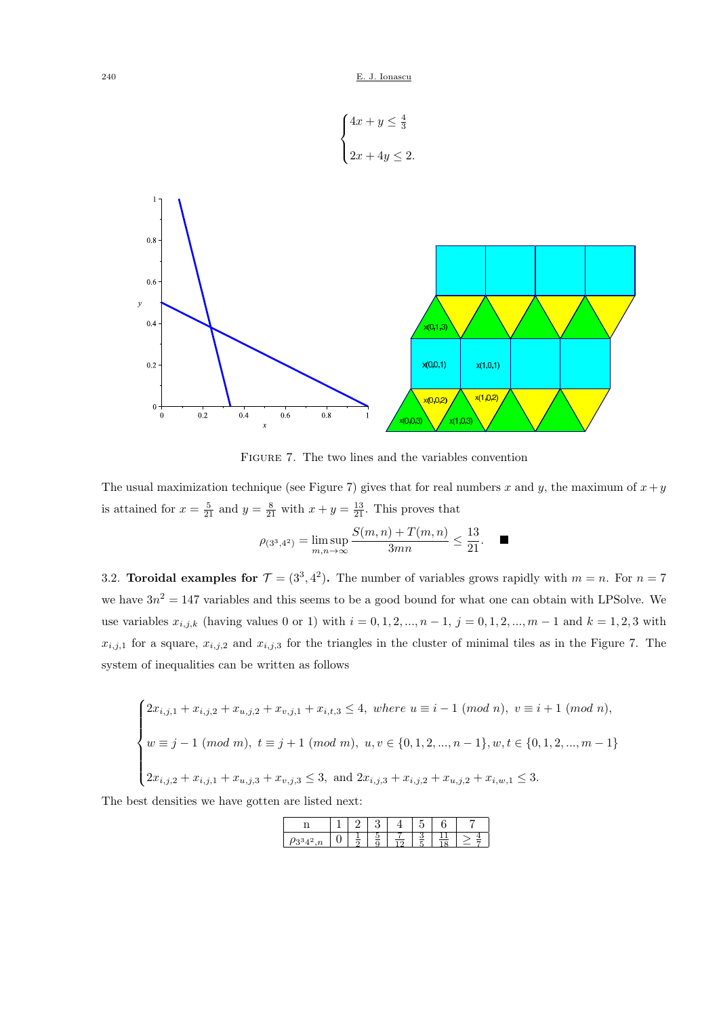$$
\begin{cases} 4x + y \leq \frac{4}{3} \\ 2x + 4y \leq 2. \end{cases}
$$



Figure 7. The two lines and the variables convention

The usual maximization technique (see Figure 7) gives that for real numbers  $x$  and  $y$ , the maximum of  $x + y$ is attained for  $x = \frac{5}{21}$  and  $y = \frac{8}{21}$  with  $x + y = \frac{13}{21}$ . This proves that

$$
\rho_{(3^3,4^2)} = \limsup_{m,n \to \infty} \frac{S(m,n) + T(m,n)}{3mn} \le \frac{13}{21}.
$$

3.2. **Toroidal examples for**  $\mathcal{T} = (3^3, 4^2)$ . The number of variables grows rapidly with  $m = n$ . For  $n = 7$ we have  $3n^2 = 147$  variables and this seems to be a good bound for what one can obtain with LPSolve. We use variables  $x_{i,j,k}$  (having values 0 or 1) with  $i = 0, 1, 2, ..., n - 1$ ,  $j = 0, 1, 2, ..., m - 1$  and  $k = 1, 2, 3$  with  $x_{i,j,1}$  for a square,  $x_{i,j,2}$  and  $x_{i,j,3}$  for the triangles in the cluster of minimal tiles as in the Figure 7. The system of inequalities can be written as follows

$$
\begin{cases} 2x_{i,j,1} + x_{i,j,2} + x_{u,j,2} + x_{v,j,1} + x_{i,t,3} \le 4, \text{ where } u \equiv i - 1 \pmod{n}, \ v \equiv i + 1 \pmod{n}, \\ w \equiv j - 1 \pmod{m}, \ t \equiv j + 1 \pmod{m}, \ u, v \in \{0, 1, 2, ..., n - 1\}, w, t \in \{0, 1, 2, ..., m - 1\} \\ 2x_{i,j,2} + x_{i,j,1} + x_{u,j,3} + x_{v,j,3} \le 3, \text{ and } 2x_{i,j,3} + x_{i,j,2} + x_{u,j,2} + x_{i,w,1} \le 3. \end{cases}
$$

The best densities we have gotten are listed next: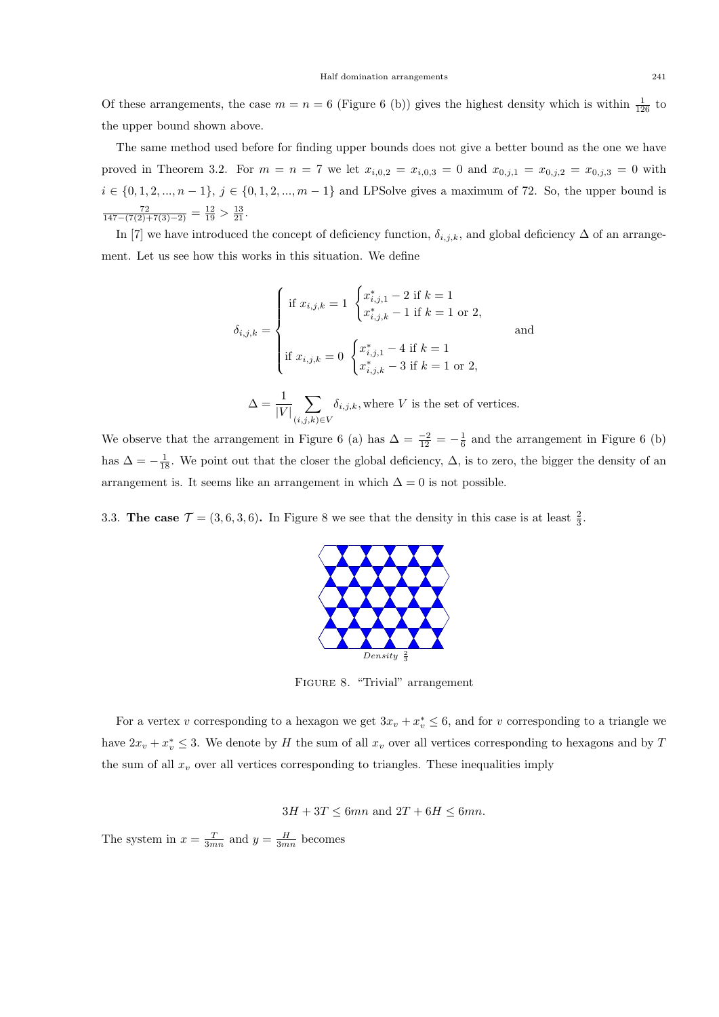Of these arrangements, the case  $m = n = 6$  (Figure 6 (b)) gives the highest density which is within  $\frac{1}{126}$  to the upper bound shown above.

The same method used before for finding upper bounds does not give a better bound as the one we have proved in Theorem 3.2. For  $m = n = 7$  we let  $x_{i,0,2} = x_{i,0,3} = 0$  and  $x_{0,j,1} = x_{0,j,2} = x_{0,j,3} = 0$  with  $i \in \{0, 1, 2, ..., n-1\}, j \in \{0, 1, 2, ..., m-1\}$  and LPSolve gives a maximum of 72. So, the upper bound is  $\frac{72}{147-(7(2)+7(3)-2)} = \frac{12}{19} > \frac{13}{21}.$ 

In [7] we have introduced the concept of deficiency function,  $\delta_{i,j,k}$ , and global deficiency  $\Delta$  of an arrangement. Let us see how this works in this situation. We define

$$
\delta_{i,j,k} = \begin{cases}\n\text{if } x_{i,j,k} = 1 \begin{cases}\nx_{i,j,1}^* - 2 \text{ if } k = 1 \\
x_{i,j,k}^* - 1 \text{ if } k = 1 \text{ or } 2, \n\end{cases} \\
\text{and} \\
\text{if } x_{i,j,k} = 0 \begin{cases}\nx_{i,j,1}^* - 4 \text{ if } k = 1 \\
x_{i,j,k}^* - 3 \text{ if } k = 1 \text{ or } 2, \n\end{cases} \\
\Delta = \frac{1}{|V|} \sum_{(i,j,k) \in V} \delta_{i,j,k}, \text{where } V \text{ is the set of vertices.}\n\end{cases}
$$

We observe that the arrangement in Figure 6 (a) has  $\Delta = \frac{-2}{12} = -\frac{1}{6}$  and the arrangement in Figure 6 (b) has  $\Delta = -\frac{1}{18}$ . We point out that the closer the global deficiency,  $\Delta$ , is to zero, the bigger the density of an arrangement is. It seems like an arrangement in which  $\Delta = 0$  is not possible.

3.3. **The case**  $\mathcal{T} = (3, 6, 3, 6)$ . In Figure 8 we see that the density in this case is at least  $\frac{2}{3}$ .



Figure 8. "Trivial" arrangement

For a vertex *v* corresponding to a hexagon we get  $3x_v + x_v^* \leq 6$ , and for *v* corresponding to a triangle we have  $2x_v + x_v^* \leq 3$ . We denote by *H* the sum of all  $x_v$  over all vertices corresponding to hexagons and by *T* the sum of all  $x<sub>v</sub>$  over all vertices corresponding to triangles. These inequalities imply

 $3H + 3T < 6mn$  and  $2T + 6H < 6mn$ .

The system in  $x = \frac{T}{3mn}$  and  $y = \frac{H}{3mn}$  becomes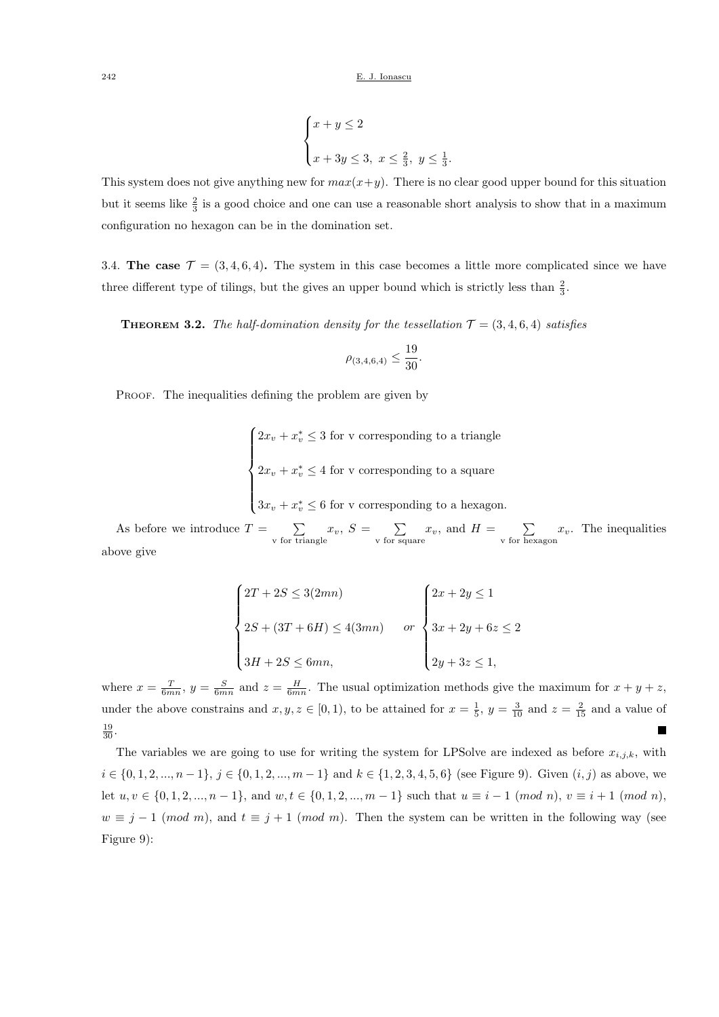$$
\begin{cases} x+y \le 2 \\ x+3y \le 3, \ x \le \frac{2}{3}, \ y \le \frac{1}{3}. \end{cases}
$$

This system does not give anything new for  $max(x+y)$ . There is no clear good upper bound for this situation but it seems like  $\frac{2}{3}$  is a good choice and one can use a reasonable short analysis to show that in a maximum configuration no hexagon can be in the domination set.

3.4. **The case**  $\mathcal{T} = (3, 4, 6, 4)$ . The system in this case becomes a little more complicated since we have three different type of tilings, but the gives an upper bound which is strictly less than  $\frac{2}{3}$ .

**THEOREM** 3.2. *The half-domination density for the tessellation*  $\mathcal{T} = (3, 4, 6, 4)$  *satisfies* 

$$
\rho_{(3,4,6,4)}\leq \frac{19}{30}.
$$

PROOF. The inequalities defining the problem are given by

 $\sqrt{ }$  $\Big\}$  $\overline{\mathcal{L}}$  $2x_v + x_v^* \leq 3$  for v corresponding to a triangle  $2x_v + x_v^* \leq 4$  for v corresponding to a square  $3x_v + x_v^* \leq 6$  for v corresponding to a hexagon.

As before we introduce  $T = \sum$  $\sum_{\text{v for triangle}} x_v, S = \sum_{\text{v for sq}}$  $\sum_{\text{v for square}} x_{v}$ , and  $H = \sum_{\text{v for her}}$  $\sum_{v \text{ for hexagon}} x_v$ . The inequalities above give

$$
\begin{cases}\n2T + 2S \le 3(2mn) \\
2S + (3T + 6H) \le 4(3mn) \\
3H + 2S \le 6mn,\n\end{cases}\n or\n\begin{cases}\n2x + 2y \le 1 \\
3x + 2y + 6z \le 2 \\
2y + 3z \le 1,\n\end{cases}
$$

where  $x = \frac{T}{6mn}$ ,  $y = \frac{S}{6mn}$  and  $z = \frac{H}{6mn}$ . The usual optimization methods give the maximum for  $x + y + z$ , under the above constrains and  $x, y, z \in [0, 1)$ , to be attained for  $x = \frac{1}{5}$ ,  $y = \frac{3}{10}$  and  $z = \frac{2}{15}$  and a value of  $\frac{19}{30}$ .  $\overline{\phantom{a}}$ 

The variables we are going to use for writing the system for LPSolve are indexed as before  $x_{i,j,k}$ , with  $i \in \{0, 1, 2, ..., n-1\}, j \in \{0, 1, 2, ..., m-1\}$  and  $k \in \{1, 2, 3, 4, 5, 6\}$  (see Figure 9). Given  $(i, j)$  as above, we let  $u, v \in \{0, 1, 2, ..., n-1\}$ , and  $w, t \in \{0, 1, 2, ..., m-1\}$  such that  $u \equiv i-1 \pmod{n}$ ,  $v \equiv i+1 \pmod{n}$ ,  $w \equiv j - 1 \pmod{m}$ , and  $t \equiv j + 1 \pmod{m}$ . Then the system can be written in the following way (see Figure 9):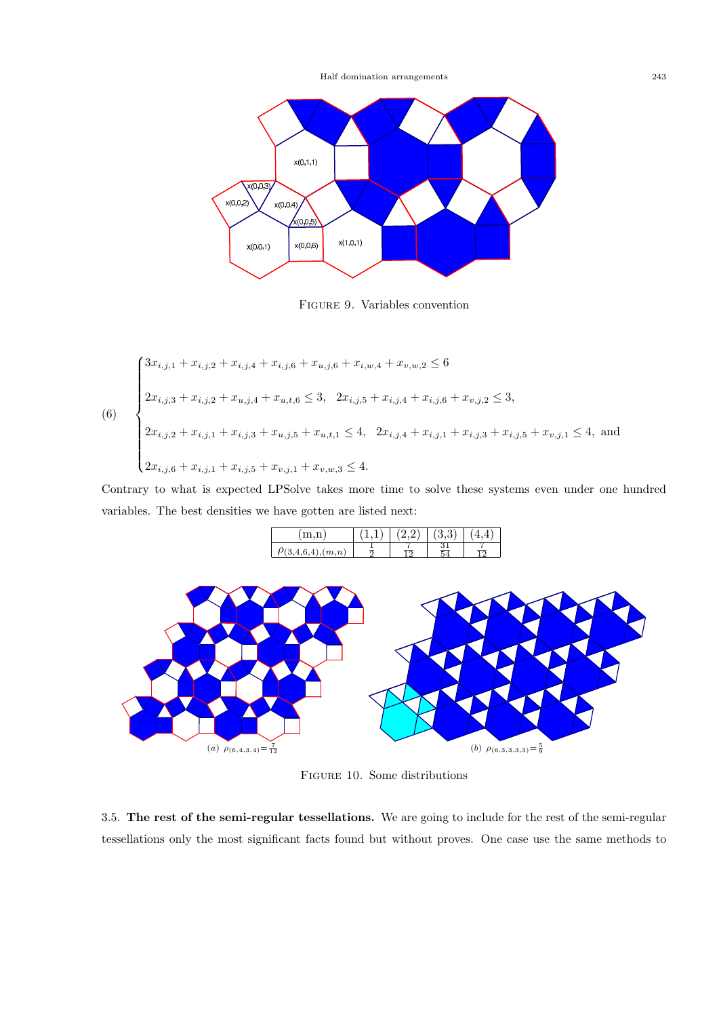

Figure 9. Variables convention

$$
(6)
$$
\n
$$
\begin{cases}\n3x_{i,j,1} + x_{i,j,2} + x_{i,j,4} + x_{i,j,6} + x_{u,j,6} + x_{i,w,4} + x_{v,w,2} \le 6 \\
2x_{i,j,3} + x_{i,j,2} + x_{u,j,4} + x_{u,t,6} \le 3, \quad 2x_{i,j,5} + x_{i,j,4} + x_{i,j,6} + x_{v,j,2} \le 3, \\
2x_{i,j,2} + x_{i,j,1} + x_{i,j,3} + x_{u,j,5} + x_{u,t,1} \le 4, \quad 2x_{i,j,4} + x_{i,j,1} + x_{i,j,3} + x_{i,j,5} + x_{v,j,1} \le 4, \text{ and} \\
2x_{i,j,6} + x_{i,j,1} + x_{i,j,5} + x_{v,j,1} + x_{v,w,3} \le 4.\n\end{cases}
$$

Contrary to what is expected LPSolve takes more time to solve these systems even under one hundred variables. The best densities we have gotten are listed next:



Figure 10. Some distributions

3.5. **The rest of the semi-regular tessellations.** We are going to include for the rest of the semi-regular tessellations only the most significant facts found but without proves. One case use the same methods to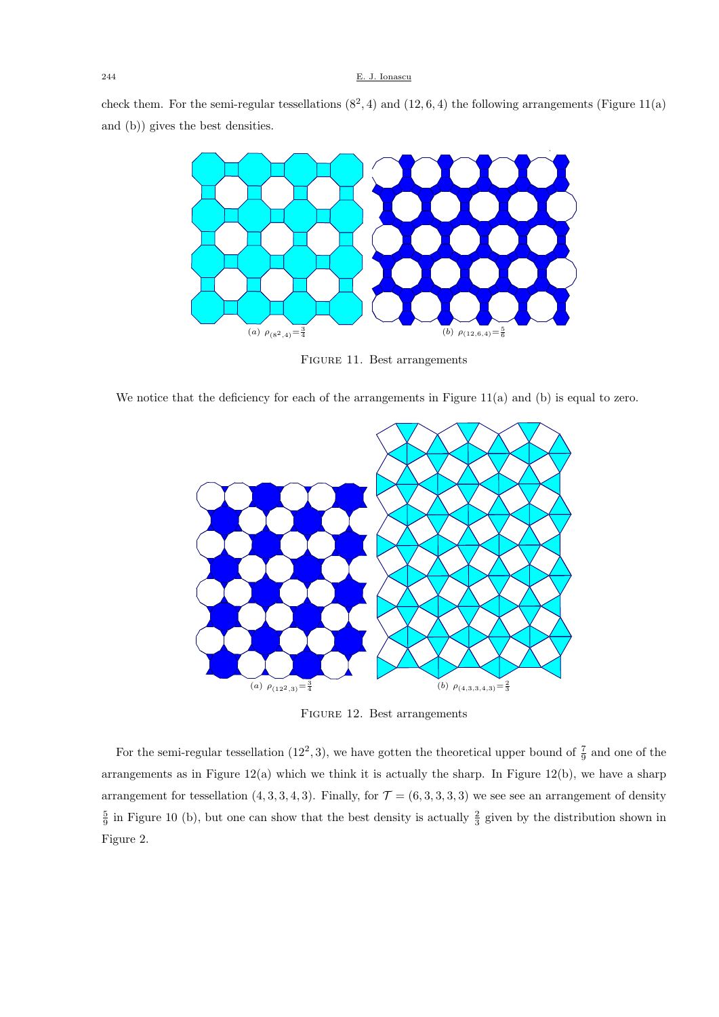check them. For the semi-regular tessellations  $(8^2, 4)$  and  $(12, 6, 4)$  the following arrangements (Figure 11(a) and (b)) gives the best densities.



Figure 11. Best arrangements

We notice that the deficiency for each of the arrangements in Figure 11(a) and (b) is equal to zero.



Figure 12. Best arrangements

For the semi-regular tessellation  $(12^2,3)$ , we have gotten the theoretical upper bound of  $\frac{7}{9}$  and one of the arrangements as in Figure  $12(a)$  which we think it is actually the sharp. In Figure  $12(b)$ , we have a sharp arrangement for tessellation  $(4, 3, 3, 4, 3)$ . Finally, for  $\mathcal{T} = (6, 3, 3, 3, 3)$  we see see an arrangement of density  $\frac{5}{9}$  in Figure 10 (b), but one can show that the best density is actually  $\frac{2}{3}$  given by the distribution shown in Figure 2.